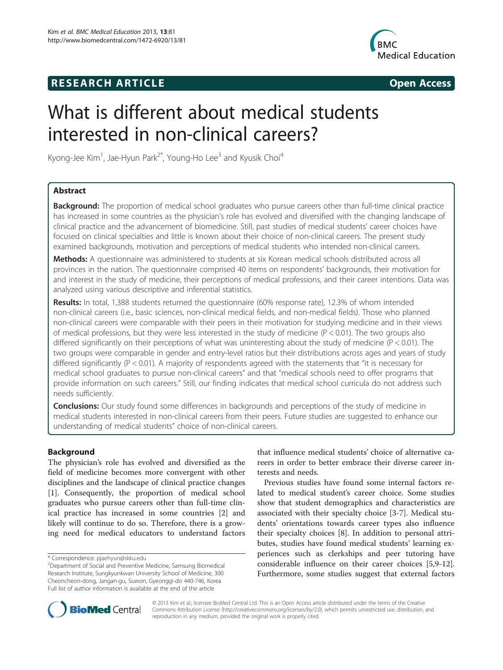# **RESEARCH ARTICLE Example 2014 The SEAR CH ACCESS**



# What is different about medical students interested in non-clinical careers?

Kyong-Jee Kim<sup>1</sup>, Jae-Hyun Park<sup>2\*</sup>, Young-Ho Lee<sup>3</sup> and Kyusik Choi<sup>4</sup>

# Abstract

**Background:** The proportion of medical school graduates who pursue careers other than full-time clinical practice has increased in some countries as the physician's role has evolved and diversified with the changing landscape of clinical practice and the advancement of biomedicine. Still, past studies of medical students' career choices have focused on clinical specialties and little is known about their choice of non-clinical careers. The present study examined backgrounds, motivation and perceptions of medical students who intended non-clinical careers.

Methods: A questionnaire was administered to students at six Korean medical schools distributed across all provinces in the nation. The questionnaire comprised 40 items on respondents' backgrounds, their motivation for and interest in the study of medicine, their perceptions of medical professions, and their career intentions. Data was analyzed using various descriptive and inferential statistics.

Results: In total, 1,388 students returned the questionnaire (60% response rate), 12.3% of whom intended non-clinical careers (i.e., basic sciences, non-clinical medical fields, and non-medical fields). Those who planned non-clinical careers were comparable with their peers in their motivation for studying medicine and in their views of medical professions, but they were less interested in the study of medicine ( $P < 0.01$ ). The two groups also differed significantly on their perceptions of what was uninteresting about the study of medicine (P < 0.01). The two groups were comparable in gender and entry-level ratios but their distributions across ages and years of study differed significantly (P < 0.01). A majority of respondents agreed with the statements that "it is necessary for medical school graduates to pursue non-clinical careers" and that "medical schools need to offer programs that provide information on such careers." Still, our finding indicates that medical school curricula do not address such needs sufficiently.

**Conclusions:** Our study found some differences in backgrounds and perceptions of the study of medicine in medical students interested in non-clinical careers from their peers. Future studies are suggested to enhance our understanding of medical students" choice of non-clinical careers.

# Background

The physician's role has evolved and diversified as the field of medicine becomes more convergent with other disciplines and the landscape of clinical practice changes [[1\]](#page-5-0). Consequently, the proportion of medical school graduates who pursue careers other than full-time clinical practice has increased in some countries [\[2](#page-5-0)] and likely will continue to do so. Therefore, there is a growing need for medical educators to understand factors

that influence medical students' choice of alternative careers in order to better embrace their diverse career interests and needs.

Previous studies have found some internal factors related to medical student's career choice. Some studies show that student demographics and characteristics are associated with their specialty choice [[3-7\]](#page-5-0). Medical students' orientations towards career types also influence their specialty choices [\[8](#page-5-0)]. In addition to personal attributes, studies have found medical students' learning experiences such as clerkships and peer tutoring have considerable influence on their career choices [[5,9-12](#page-5-0)]. Furthermore, some studies suggest that external factors



© 2013 Kim et al.; licensee BioMed Central Ltd. This is an Open Access article distributed under the terms of the Creative Commons Attribution License [\(http://creativecommons.org/licenses/by/2.0\)](http://creativecommons.org/licenses/by/2.0), which permits unrestricted use, distribution, and reproduction in any medium, provided the original work is properly cited.

<sup>\*</sup> Correspondence: [pjaehyun@skku.edu](mailto:pjaehyun@skku.edu) <sup>2</sup>

Department of Social and Preventive Medicine, Samsung Biomedical Research Institute, Sungkyunkwan University School of Medicine, 300 Cheoncheon-dong, Jangan-gu, Suwon, Gyeonggi-do 440-746, Korea Full list of author information is available at the end of the article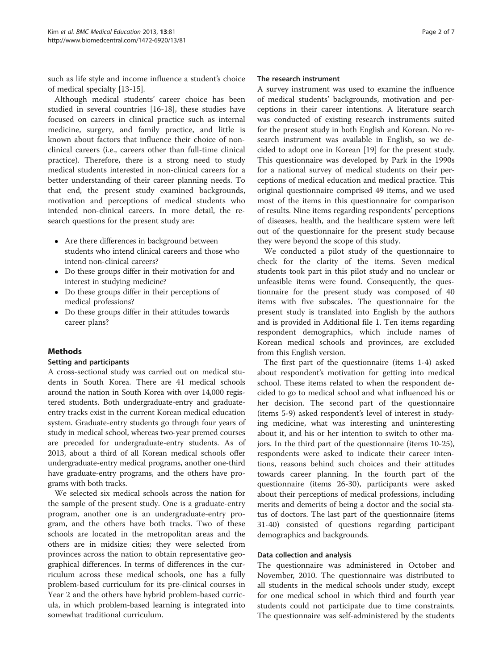such as life style and income influence a student's choice of medical specialty [\[13](#page-5-0)-[15\]](#page-5-0).

Although medical students' career choice has been studied in several countries [[16-18](#page-6-0)], these studies have focused on careers in clinical practice such as internal medicine, surgery, and family practice, and little is known about factors that influence their choice of nonclinical careers (i.e., careers other than full-time clinical practice). Therefore, there is a strong need to study medical students interested in non-clinical careers for a better understanding of their career planning needs. To that end, the present study examined backgrounds, motivation and perceptions of medical students who intended non-clinical careers. In more detail, the research questions for the present study are:

- Are there differences in background between students who intend clinical careers and those who intend non-clinical careers?
- Do these groups differ in their motivation for and interest in studying medicine?
- Do these groups differ in their perceptions of medical professions?
- Do these groups differ in their attitudes towards career plans?

# Methods

# Setting and participants

A cross-sectional study was carried out on medical students in South Korea. There are 41 medical schools around the nation in South Korea with over 14,000 registered students. Both undergraduate-entry and graduateentry tracks exist in the current Korean medical education system. Graduate-entry students go through four years of study in medical school, whereas two-year premed courses are preceded for undergraduate-entry students. As of 2013, about a third of all Korean medical schools offer undergraduate-entry medical programs, another one-third have graduate-entry programs, and the others have programs with both tracks.

We selected six medical schools across the nation for the sample of the present study. One is a graduate-entry program, another one is an undergraduate-entry program, and the others have both tracks. Two of these schools are located in the metropolitan areas and the others are in midsize cities; they were selected from provinces across the nation to obtain representative geographical differences. In terms of differences in the curriculum across these medical schools, one has a fully problem-based curriculum for its pre-clinical courses in Year 2 and the others have hybrid problem-based curricula, in which problem-based learning is integrated into somewhat traditional curriculum.

#### The research instrument

A survey instrument was used to examine the influence of medical students' backgrounds, motivation and perceptions in their career intentions. A literature search was conducted of existing research instruments suited for the present study in both English and Korean. No research instrument was available in English, so we decided to adopt one in Korean [[19](#page-6-0)] for the present study. This questionnaire was developed by Park in the 1990s for a national survey of medical students on their perceptions of medical education and medical practice. This original questionnaire comprised 49 items, and we used most of the items in this questionnaire for comparison of results. Nine items regarding respondents' perceptions of diseases, health, and the healthcare system were left out of the questionnaire for the present study because they were beyond the scope of this study.

We conducted a pilot study of the questionnaire to check for the clarity of the items. Seven medical students took part in this pilot study and no unclear or unfeasible items were found. Consequently, the questionnaire for the present study was composed of 40 items with five subscales. The questionnaire for the present study is translated into English by the authors and is provided in Additional file [1.](#page-5-0) Ten items regarding respondent demographics, which include names of Korean medical schools and provinces, are excluded from this English version.

The first part of the questionnaire (items 1-4) asked about respondent's motivation for getting into medical school. These items related to when the respondent decided to go to medical school and what influenced his or her decision. The second part of the questionnaire (items 5-9) asked respondent's level of interest in studying medicine, what was interesting and uninteresting about it, and his or her intention to switch to other majors. In the third part of the questionnaire (items 10-25), respondents were asked to indicate their career intentions, reasons behind such choices and their attitudes towards career planning. In the fourth part of the questionnaire (items 26-30), participants were asked about their perceptions of medical professions, including merits and demerits of being a doctor and the social status of doctors. The last part of the questionnaire (items 31-40) consisted of questions regarding participant demographics and backgrounds.

#### Data collection and analysis

The questionnaire was administered in October and November, 2010. The questionnaire was distributed to all students in the medical schools under study, except for one medical school in which third and fourth year students could not participate due to time constraints. The questionnaire was self-administered by the students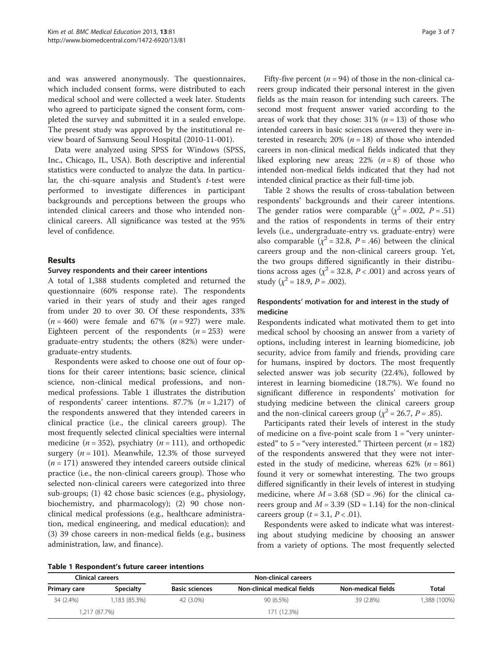and was answered anonymously. The questionnaires, which included consent forms, were distributed to each medical school and were collected a week later. Students who agreed to participate signed the consent form, completed the survey and submitted it in a sealed envelope. The present study was approved by the institutional review board of Samsung Seoul Hospital (2010-11-001).

Data were analyzed using SPSS for Windows (SPSS, Inc., Chicago, IL, USA). Both descriptive and inferential statistics were conducted to analyze the data. In particular, the chi-square analysis and Student's  $t$ -test were performed to investigate differences in participant backgrounds and perceptions between the groups who intended clinical careers and those who intended nonclinical careers. All significance was tested at the 95% level of confidence.

## Results

#### Survey respondents and their career intentions

A total of 1,388 students completed and returned the questionnaire (60% response rate). The respondents varied in their years of study and their ages ranged from under 20 to over 30. Of these respondents, 33%  $(n = 460)$  were female and 67%  $(n = 927)$  were male. Eighteen percent of the respondents  $(n = 253)$  were graduate-entry students; the others (82%) were undergraduate-entry students.

Respondents were asked to choose one out of four options for their career intentions; basic science, clinical science, non-clinical medical professions, and nonmedical professions. Table 1 illustrates the distribution of respondents' career intentions. 87.7%  $(n = 1,217)$  of the respondents answered that they intended careers in clinical practice (i.e., the clinical careers group). The most frequently selected clinical specialties were internal medicine ( $n = 352$ ), psychiatry ( $n = 111$ ), and orthopedic surgery  $(n = 101)$ . Meanwhile, 12.3% of those surveyed  $(n = 171)$  answered they intended careers outside clinical practice (i.e., the non-clinical careers group). Those who selected non-clinical careers were categorized into three sub-groups; (1) 42 chose basic sciences (e.g., physiology, biochemistry, and pharmacology); (2) 90 chose nonclinical medical professions (e.g., healthcare administration, medical engineering, and medical education); and (3) 39 chose careers in non-medical fields (e.g., business administration, law, and finance).

Fifty-five percent ( $n = 94$ ) of those in the non-clinical careers group indicated their personal interest in the given fields as the main reason for intending such careers. The second most frequent answer varied according to the areas of work that they chose:  $31\%$  ( $n = 13$ ) of those who intended careers in basic sciences answered they were interested in research; 20% ( $n = 18$ ) of those who intended careers in non-clinical medical fields indicated that they liked exploring new areas; 22%  $(n = 8)$  of those who intended non-medical fields indicated that they had not intended clinical practice as their full-time job.

Table [2](#page-3-0) shows the results of cross-tabulation between respondents' backgrounds and their career intentions. The gender ratios were comparable ( $\chi^2$  = .002, P = .51) and the ratios of respondents in terms of their entry levels (i.e., undergraduate-entry vs. graduate-entry) were also comparable ( $\chi^2$  = 32.8, P = .46) between the clinical careers group and the non-clinical careers group. Yet, the two groups differed significantly in their distributions across ages ( $\chi^2$  = 32.8, P < .001) and across years of study ( $\chi^2$  = 18.9, P = .002).

# Respondents' motivation for and interest in the study of medicine

Respondents indicated what motivated them to get into medical school by choosing an answer from a variety of options, including interest in learning biomedicine, job security, advice from family and friends, providing care for humans, inspired by doctors. The most frequently selected answer was job security (22.4%), followed by interest in learning biomedicine (18.7%). We found no significant difference in respondents' motivation for studying medicine between the clinical careers group and the non-clinical careers group ( $\chi^2$  = 26.7, P = .85).

Participants rated their levels of interest in the study of medicine on a five-point scale from  $1 =$  "very uninterested" to  $5 =$  "very interested." Thirteen percent ( $n = 182$ ) of the respondents answered that they were not interested in the study of medicine, whereas  $62\%$  ( $n = 861$ ) found it very or somewhat interesting. The two groups differed significantly in their levels of interest in studying medicine, where  $M = 3.68$  (SD = .96) for the clinical careers group and  $M = 3.39$  (SD = 1.14) for the non-clinical careers group  $(t = 3.1, P < .01)$ .

Respondents were asked to indicate what was interesting about studying medicine by choosing an answer from a variety of options. The most frequently selected

|  | Table 1 Respondent's future career intentions |  |  |
|--|-----------------------------------------------|--|--|
|--|-----------------------------------------------|--|--|

| <b>Clinical careers</b> |                  | <b>Non-clinical careers</b> |                             |                    |              |
|-------------------------|------------------|-----------------------------|-----------------------------|--------------------|--------------|
| Primary care            | <b>Specialty</b> | <b>Basic sciences</b>       | Non-clinical medical fields | Non-medical fields | Total        |
| 34 (2.4%)               | 1.183 (85.3%)    | 42 (3.0%)                   | 90 (6.5%)                   | 39 (2.8%)          | 1,388 (100%) |
|                         | 1,217 (87.7%)    |                             | 171 (12.3%)                 |                    |              |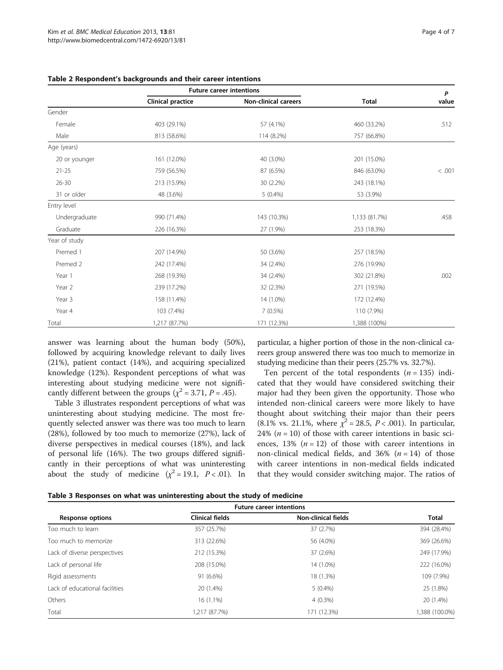|               | <b>Future career intentions</b> |                             |               | P      |
|---------------|---------------------------------|-----------------------------|---------------|--------|
|               | <b>Clinical practice</b>        | <b>Non-clinical careers</b> | <b>Total</b>  | value  |
| Gender        |                                 |                             |               |        |
| Female        | 403 (29.1%)                     | 57 (4.1%)                   | 460 (33.2%)   | .512   |
| Male          | 813 (58.6%)                     | 114 (8.2%)                  | 757 (66.8%)   |        |
| Age (years)   |                                 |                             |               |        |
| 20 or younger | 161 (12.0%)                     | 40 (3.0%)                   | 201 (15.0%)   |        |
| $21 - 25$     | 759 (56.5%)                     | 87 (6.5%)                   | 846 (63.0%)   | < .001 |
| $26 - 30$     | 213 (15.9%)                     | 30 (2.2%)                   | 243 (18.1%)   |        |
| 31 or older   | 48 (3.6%)                       | $5(0.4\%)$                  | 53 (3.9%)     |        |
| Entry level   |                                 |                             |               |        |
| Undergraduate | 990 (71.4%)                     | 143 (10.3%)                 | 1,133 (81.7%) | .458   |
| Graduate      | 226 (16.3%)                     | 27 (1.9%)                   | 253 (18.3%)   |        |
| Year of study |                                 |                             |               |        |
| Premed 1      | 207 (14.9%)                     | 50 (3.6%)                   | 257 (18.5%)   |        |
| Premed 2      | 242 (17.4%)                     | 34 (2.4%)                   | 276 (19.9%)   |        |
| Year 1        | 268 (19.3%)                     | 34 (2.4%)                   | 302 (21.8%)   | .002   |
| Year 2        | 239 (17.2%)                     | 32 (2.3%)                   | 271 (19.5%)   |        |
| Year 3        | 158 (11.4%)                     | 14 (1.0%)                   | 172 (12.4%)   |        |
| Year 4        | 103 (7.4%)                      | $7(0.5\%)$                  | 110 (7.9%)    |        |
| Total         | 1,217 (87.7%)                   | 171 (12.3%)                 | 1,388 (100%)  |        |

<span id="page-3-0"></span>Table 2 Respondent's backgrounds and their career intentions

answer was learning about the human body (50%), followed by acquiring knowledge relevant to daily lives (21%), patient contact (14%), and acquiring specialized knowledge (12%). Respondent perceptions of what was interesting about studying medicine were not significantly different between the groups ( $\chi^2$  = 3.71, P = .45).

Table 3 illustrates respondent perceptions of what was uninteresting about studying medicine. The most frequently selected answer was there was too much to learn (28%), followed by too much to memorize (27%), lack of diverse perspectives in medical courses (18%), and lack of personal life (16%). The two groups differed significantly in their perceptions of what was uninteresting about the study of medicine  $(\chi^2 = 19.1, P < .01)$ . In

particular, a higher portion of those in the non-clinical careers group answered there was too much to memorize in studying medicine than their peers (25.7% vs. 32.7%).

Ten percent of the total respondents  $(n = 135)$  indicated that they would have considered switching their major had they been given the opportunity. Those who intended non-clinical careers were more likely to have thought about switching their major than their peers (8.1% vs. 21.1%, where  $\chi^2 = 28.5$ ,  $P < .001$ ). In particular, 24%  $(n = 10)$  of those with career intentions in basic sciences, 13%  $(n = 12)$  of those with career intentions in non-clinical medical fields, and  $36\%$  ( $n = 14$ ) of those with career intentions in non-medical fields indicated that they would consider switching major. The ratios of

|                                | <b>Future career intentions</b> |                            |                |
|--------------------------------|---------------------------------|----------------------------|----------------|
| <b>Response options</b>        | <b>Clinical fields</b>          | <b>Non-clinical fields</b> | <b>Total</b>   |
| Too much to learn              | 357 (25.7%)                     | 37 (2.7%)                  | 394 (28.4%)    |
| Too much to memorize           | 313 (22.6%)                     | 56 (4.0%)                  | 369 (26.6%)    |
| Lack of diverse perspectives   | 212 (15.3%)                     | 37 (2.6%)                  | 249 (17.9%)    |
| Lack of personal life          | 208 (15.0%)                     | 14 (1.0%)                  | 222 (16.0%)    |
| Rigid assessments              | 91 (6.6%)                       | 18 (1.3%)                  | 109 (7.9%)     |
| Lack of educational facilities | 20 (1.4%)                       | $5(0.4\%)$                 | 25 (1.8%)      |
| Others                         | 16 (1.1%)                       | $4(0.3\%)$                 | 20 (1.4%)      |
| Total                          | 1,217 (87.7%)                   | 171 (12.3%)                | 1,388 (100.0%) |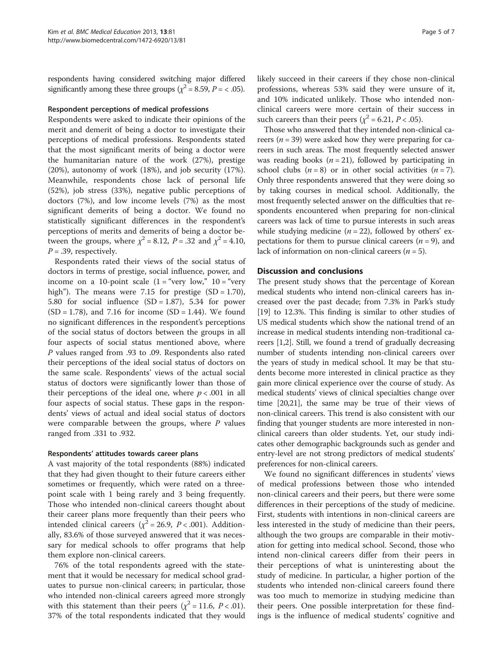respondents having considered switching major differed significantly among these three groups ( $\chi^2$  = 8.59, P = < .05).

#### Respondent perceptions of medical professions

Respondents were asked to indicate their opinions of the merit and demerit of being a doctor to investigate their perceptions of medical professions. Respondents stated that the most significant merits of being a doctor were the humanitarian nature of the work (27%), prestige (20%), autonomy of work (18%), and job security (17%). Meanwhile, respondents chose lack of personal life (52%), job stress (33%), negative public perceptions of doctors (7%), and low income levels (7%) as the most significant demerits of being a doctor. We found no statistically significant differences in the respondent's perceptions of merits and demerits of being a doctor between the groups, where  $\chi^2 = 8.12$ ,  $P = .32$  and  $\chi^2 = 4.10$ ,  $P = .39$ , respectively.

Respondents rated their views of the social status of doctors in terms of prestige, social influence, power, and income on a 10-point scale  $(1 = "very low," 10 = "very"$ high"). The means were 7.15 for prestige  $(SD = 1.70)$ , 5.80 for social influence  $(SD = 1.87)$ , 5.34 for power  $(SD = 1.78)$ , and 7.16 for income  $(SD = 1.44)$ . We found no significant differences in the respondent's perceptions of the social status of doctors between the groups in all four aspects of social status mentioned above, where P values ranged from .93 to .09. Respondents also rated their perceptions of the ideal social status of doctors on the same scale. Respondents' views of the actual social status of doctors were significantly lower than those of their perceptions of the ideal one, where  $p < .001$  in all four aspects of social status. These gaps in the respondents' views of actual and ideal social status of doctors were comparable between the groups, where  $P$  values ranged from .331 to .932.

#### Respondents' attitudes towards career plans

A vast majority of the total respondents (88%) indicated that they had given thought to their future careers either sometimes or frequently, which were rated on a threepoint scale with 1 being rarely and 3 being frequently. Those who intended non-clinical careers thought about their career plans more frequently than their peers who intended clinical careers ( $\chi^2$  = 26.9, P < .001). Additionally, 83.6% of those surveyed answered that it was necessary for medical schools to offer programs that help them explore non-clinical careers.

76% of the total respondents agreed with the statement that it would be necessary for medical school graduates to pursue non-clinical careers; in particular, those who intended non-clinical careers agreed more strongly with this statement than their peers ( $\chi^2$  = 11.6, P < .01). 37% of the total respondents indicated that they would likely succeed in their careers if they chose non-clinical professions, whereas 53% said they were unsure of it, and 10% indicated unlikely. Those who intended nonclinical careers were more certain of their success in such careers than their peers ( $\chi^2$  = 6.21, *P* < .05).

Those who answered that they intended non-clinical careers ( $n = 39$ ) were asked how they were preparing for careers in such areas. The most frequently selected answer was reading books  $(n = 21)$ , followed by participating in school clubs  $(n = 8)$  or in other social activities  $(n = 7)$ . Only three respondents answered that they were doing so by taking courses in medical school. Additionally, the most frequently selected answer on the difficulties that respondents encountered when preparing for non-clinical careers was lack of time to pursue interests in such areas while studying medicine  $(n = 22)$ , followed by others' expectations for them to pursue clinical careers  $(n = 9)$ , and lack of information on non-clinical careers ( $n = 5$ ).

#### Discussion and conclusions

The present study shows that the percentage of Korean medical students who intend non-clinical careers has increased over the past decade; from 7.3% in Park's study [[19](#page-6-0)] to 12.3%. This finding is similar to other studies of US medical students which show the national trend of an increase in medical students intending non-traditional careers [[1,2](#page-5-0)]. Still, we found a trend of gradually decreasing number of students intending non-clinical careers over the years of study in medical school. It may be that students become more interested in clinical practice as they gain more clinical experience over the course of study. As medical students' views of clinical specialties change over time [\[20,21\]](#page-6-0), the same may be true of their views of non-clinical careers. This trend is also consistent with our finding that younger students are more interested in nonclinical careers than older students. Yet, our study indicates other demographic backgrounds such as gender and entry-level are not strong predictors of medical students' preferences for non-clinical careers.

We found no significant differences in students' views of medical professions between those who intended non-clinical careers and their peers, but there were some differences in their perceptions of the study of medicine. First, students with intentions in non-clinical careers are less interested in the study of medicine than their peers, although the two groups are comparable in their motivation for getting into medical school. Second, those who intend non-clinical careers differ from their peers in their perceptions of what is uninteresting about the study of medicine. In particular, a higher portion of the students who intended non-clinical careers found there was too much to memorize in studying medicine than their peers. One possible interpretation for these findings is the influence of medical students' cognitive and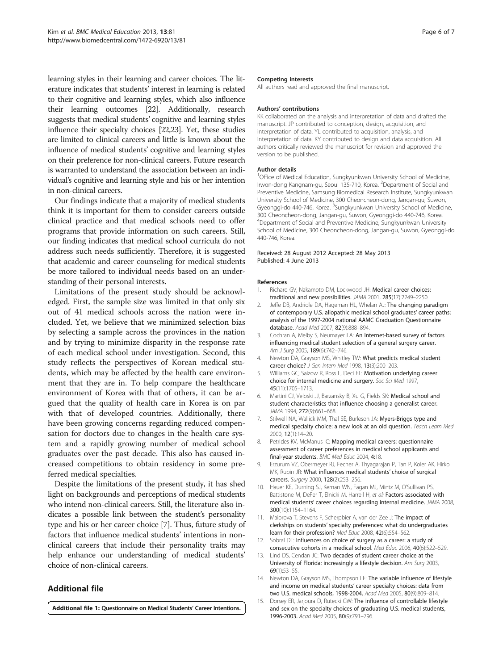<span id="page-5-0"></span>learning styles in their learning and career choices. The literature indicates that students' interest in learning is related to their cognitive and learning styles, which also influence their learning outcomes [\[22\]](#page-6-0). Additionally, research suggests that medical students' cognitive and learning styles influence their specialty choices [\[22,23\]](#page-6-0). Yet, these studies are limited to clinical careers and little is known about the influence of medical students' cognitive and learning styles on their preference for non-clinical careers. Future research is warranted to understand the association between an individual's cognitive and learning style and his or her intention in non-clinical careers.

Our findings indicate that a majority of medical students think it is important for them to consider careers outside clinical practice and that medical schools need to offer programs that provide information on such careers. Still, our finding indicates that medical school curricula do not address such needs sufficiently. Therefore, it is suggested that academic and career counseling for medical students be more tailored to individual needs based on an understanding of their personal interests.

Limitations of the present study should be acknowledged. First, the sample size was limited in that only six out of 41 medical schools across the nation were included. Yet, we believe that we minimized selection bias by selecting a sample across the provinces in the nation and by trying to minimize disparity in the response rate of each medical school under investigation. Second, this study reflects the perspectives of Korean medical students, which may be affected by the health care environment that they are in. To help compare the healthcare environment of Korea with that of others, it can be argued that the quality of health care in Korea is on par with that of developed countries. Additionally, there have been growing concerns regarding reduced compensation for doctors due to changes in the health care system and a rapidly growing number of medical school graduates over the past decade. This also has caused increased competitions to obtain residency in some preferred medical specialties.

Despite the limitations of the present study, it has shed light on backgrounds and perceptions of medical students who intend non-clinical careers. Still, the literature also indicates a possible link between the student's personality type and his or her career choice [7]. Thus, future study of factors that influence medical students' intentions in nonclinical careers that include their personality traits may help enhance our understanding of medical students' choice of non-clinical careers.

# Additional file

[Additional file 1:](http://www.biomedcentral.com/content/supplementary/1472-6920-13-81-S1.docx) Questionnaire on Medical Students' Career Intentions.

#### Competing interests

All authors read and approved the final manuscript.

#### Authors' contributions

KK collaborated on the analysis and interpretation of data and drafted the manuscript. JP contributed to conception, design, acquisition, and interpretation of data. YL contributed to acquisition, analysis, and interpretation of data. KY contributed to design and data acquisition. All authors critically reviewed the manuscript for revision and approved the version to be published.

#### Author details

<sup>1</sup>Office of Medical Education, Sungkyunkwan University School of Medicine, Irwon-dong Kangnam-gu, Seoul 135-710, Korea. <sup>2</sup>Department of Social and Preventive Medicine, Samsung Biomedical Research Institute, Sungkyunkwan University School of Medicine, 300 Cheoncheon-dong, Jangan-gu, Suwon, Gyeonggi-do 440-746, Korea. <sup>3</sup>Sungkyunkwan University School of Medicine, 300 Cheoncheon-dong, Jangan-gu, Suwon, Gyeonggi-do 440-746, Korea. 4 Department of Social and Preventive Medicine, Sungkyunkwan University School of Medicine, 300 Cheoncheon-dong, Jangan-gu, Suwon, Gyeonggi-do 440-746, Korea.

#### Received: 28 August 2012 Accepted: 28 May 2013 Published: 4 June 2013

#### References

- Richard GV, Nakamoto DM, Lockwood JH: Medical career choices: traditional and new possibilities. JAMA 2001, 285(17):2249–2250.
- 2. Jeffe DB, Andriole DA, Hageman HL, Whelan AJ: The changing paradigm of contemporary U.S. allopathic medical school graduates' career paths: analysis of the 1997-2004 national AAMC Graduation Questionnaire database. Acad Med 2007, 82(9):888–894.
- Cochran A, Melby S, Neumayer LA: An Internet-based survey of factors influencing medical student selection of a general surgery career. Am J Surg 2005, 189(6):742–746.
- 4. Newton DA, Grayson MS, Whitley TW: What predicts medical student career choice? J Gen Intern Med 1998, 13(3):200–203.
- 5. Williams GC, Saizow R, Ross L, Deci EL: Motivation underlying career choice for internal medicine and surgery. Soc Sci Med 1997, 45(11):1705–1713.
- 6. Martini CJ, Veloski JJ, Barzansky B, Xu G, Fields SK: Medical school and student characteristics that influence choosing a generalist career. JAMA 1994, 272(9):661-668.
- 7. Stilwell NA, Wallick MM, Thal SE, Burleson JA: Myers-Briggs type and medical specialty choice: a new look at an old question. Teach Learn Med 2000, 12(1):14–20.
- 8. Petrides KV, McManus IC: Mapping medical careers: questionnaire assessment of career preferences in medical school applicants and final-year students. BMC Med Educ 2004, 4:18.
- 9. Erzurum VZ, Obermeyer RJ, Fecher A, Thyagarajan P, Tan P, Koler AK, Hirko MK, Rubin JR: What influences medical students' choice of surgical careers. Surgery 2000, 128(2):253–256.
- 10. Hauer KE, Durning SJ, Kernan WN, Fagan MJ, Mintz M, O'Sullivan PS, Battistone M, DeFer T, Elnicki M, Harrell H, et al: Factors associated with medical students' career choices regarding internal medicine. JAMA 2008, 300(10):1154–1164.
- 11. Maiorova T, Stevens F, Scherpbier A, van der Zee J: The impact of clerkships on students' specialty preferences: what do undergraduates learn for their profession? Med Educ 2008, 42(6):554–562.
- 12. Sobral DT: Influences on choice of surgery as a career: a study of consecutive cohorts in a medical school. Med Educ 2006, 40(6):522–529.
- 13. Lind DS, Cendan JC: Two decades of student career choice at the University of Florida: increasingly a lifestyle decision. Am Surg 2003, 69(1):53–55.
- 14. Newton DA, Grayson MS, Thompson LF: The variable influence of lifestyle and income on medical students' career specialty choices: data from two U.S. medical schools, 1998-2004. Acad Med 2005, 80(9):809–814.
- 15. Dorsey ER, Jarjoura D, Rutecki GW: The influence of controllable lifestyle and sex on the specialty choices of graduating U.S. medical students, 1996-2003. Acad Med 2005, 80(9):791–796.